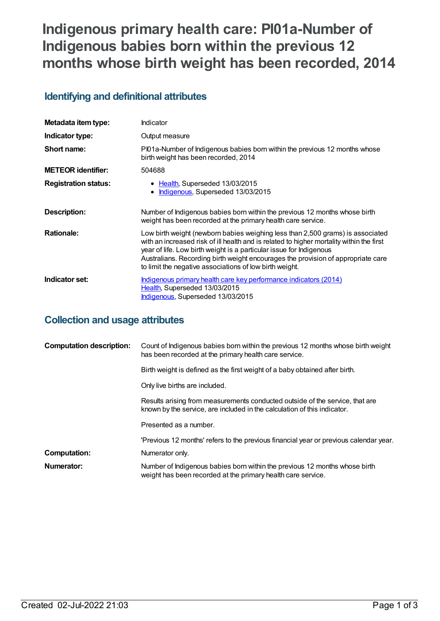# **Indigenous primary health care: PI01a-Number of Indigenous babies born within the previous 12 months whose birth weight has been recorded, 2014**

# **Identifying and definitional attributes**

| Metadata item type:         | Indicator                                                                                                                                                                                                                                                                                                                                                                                        |
|-----------------------------|--------------------------------------------------------------------------------------------------------------------------------------------------------------------------------------------------------------------------------------------------------------------------------------------------------------------------------------------------------------------------------------------------|
| Indicator type:             | Output measure                                                                                                                                                                                                                                                                                                                                                                                   |
| Short name:                 | Pl01a-Number of Indigenous babies born within the previous 12 months whose<br>birth weight has been recorded, 2014                                                                                                                                                                                                                                                                               |
| <b>METEOR</b> identifier:   | 504688                                                                                                                                                                                                                                                                                                                                                                                           |
| <b>Registration status:</b> | • Health, Superseded 13/03/2015<br>Indigenous, Superseded 13/03/2015<br>٠                                                                                                                                                                                                                                                                                                                        |
| Description:                | Number of Indigenous babies born within the previous 12 months whose birth<br>weight has been recorded at the primary health care service.                                                                                                                                                                                                                                                       |
| <b>Rationale:</b>           | Low birth weight (newborn babies weighing less than 2,500 grams) is associated<br>with an increased risk of ill health and is related to higher mortality within the first<br>year of life. Low birth weight is a particular issue for Indigenous<br>Australians. Recording birth weight encourages the provision of appropriate care<br>to limit the negative associations of low birth weight. |
| Indicator set:              | Indigenous primary health care key performance indicators (2014)<br>Health, Superseded 13/03/2015<br>Indigenous, Superseded 13/03/2015                                                                                                                                                                                                                                                           |

## **Collection and usage attributes**

| <b>Computation description:</b> | Count of Indigenous babies born within the previous 12 months whose birth weight<br>has been recorded at the primary health care service.                |
|---------------------------------|----------------------------------------------------------------------------------------------------------------------------------------------------------|
|                                 |                                                                                                                                                          |
|                                 | Birth weight is defined as the first weight of a baby obtained after birth.                                                                              |
|                                 | Only live births are included.                                                                                                                           |
|                                 | Results arising from measurements conducted outside of the service, that are<br>known by the service, are included in the calculation of this indicator. |
|                                 | Presented as a number.                                                                                                                                   |
|                                 | 'Previous 12 months' refers to the previous financial year or previous calendar year.                                                                    |
| <b>Computation:</b>             | Numerator only.                                                                                                                                          |
| Numerator:                      | Number of Indigenous babies born within the previous 12 months whose birth<br>weight has been recorded at the primary health care service.               |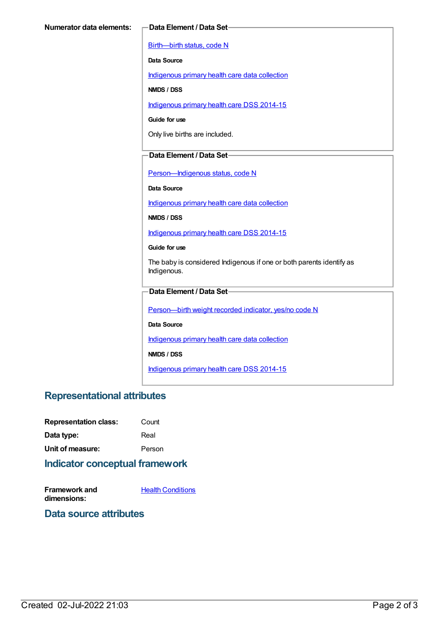[Birth—birth](https://meteor.aihw.gov.au/content/269949) status, code N

**Data Source**

[Indigenous](https://meteor.aihw.gov.au/content/430643) primary health care data collection

**NMDS / DSS**

[Indigenous](https://meteor.aihw.gov.au/content/504325) primary health care DSS 2014-15

**Guide for use**

Only live births are included.

#### **Data Element / Data Set**

Person-Indigenous status, code N

**Data Source**

[Indigenous](https://meteor.aihw.gov.au/content/430643) primary health care data collection

**NMDS / DSS**

[Indigenous](https://meteor.aihw.gov.au/content/504325) primary health care DSS 2014-15

**Guide for use**

The baby is considered Indigenous if one or both parents identify as Indigenous.

#### **Data Element / Data Set**

[Person—birth](https://meteor.aihw.gov.au/content/441701) weight recorded indicator, yes/no code N

**Data Source**

[Indigenous](https://meteor.aihw.gov.au/content/430643) primary health care data collection

**NMDS / DSS**

[Indigenous](https://meteor.aihw.gov.au/content/504325) primary health care DSS 2014-15

### **Representational attributes**

| <b>Representation class:</b> | Count  |
|------------------------------|--------|
| Data type:                   | Real   |
| Unit of measure:             | Person |

### **Indicator conceptual framework**

**Framework and dimensions:**

**Health [Conditions](https://meteor.aihw.gov.au/content/410650)** 

#### **Data source attributes**